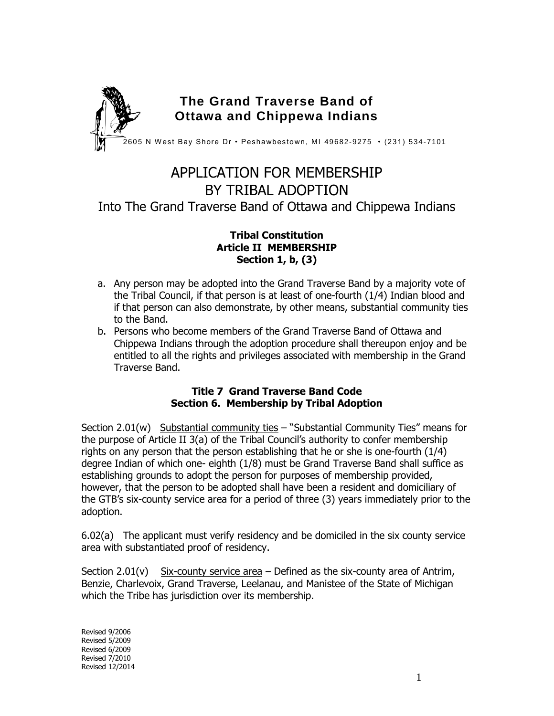

# APPLICATION FOR MEMBERSHIP BY TRIBAL ADOPTION Into The Grand Traverse Band of Ottawa and Chippewa Indians

#### **Tribal Constitution Article II MEMBERSHIP Section 1, b, (3)**

- a. Any person may be adopted into the Grand Traverse Band by a majority vote of the Tribal Council, if that person is at least of one-fourth (1/4) Indian blood and if that person can also demonstrate, by other means, substantial community ties to the Band.
- b. Persons who become members of the Grand Traverse Band of Ottawa and Chippewa Indians through the adoption procedure shall thereupon enjoy and be entitled to all the rights and privileges associated with membership in the Grand Traverse Band.

#### **Title 7 Grand Traverse Band Code Section 6. Membership by Tribal Adoption**

Section 2.01(w) Substantial community ties  $-$  "Substantial Community Ties" means for the purpose of Article II 3(a) of the Tribal Council's authority to confer membership rights on any person that the person establishing that he or she is one-fourth (1/4) degree Indian of which one- eighth (1/8) must be Grand Traverse Band shall suffice as establishing grounds to adopt the person for purposes of membership provided, however, that the person to be adopted shall have been a resident and domiciliary of the GTB's six-county service area for a period of three (3) years immediately prior to the adoption.

6.02(a) The applicant must verify residency and be domiciled in the six county service area with substantiated proof of residency.

Section 2.01(v) Six-county service area  $-$  Defined as the six-county area of Antrim, Benzie, Charlevoix, Grand Traverse, Leelanau, and Manistee of the State of Michigan which the Tribe has jurisdiction over its membership.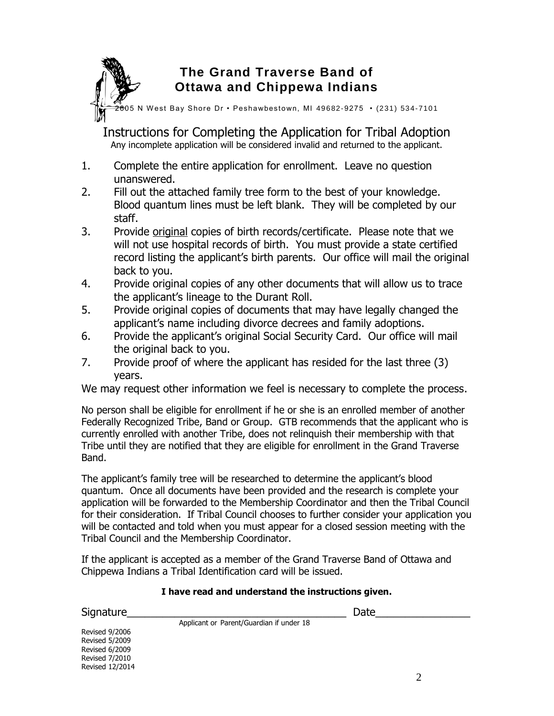## **The Grand Traverse Band of Ottawa and Chippewa Indians**

2605 N W est Bay Shore Dr • Peshawbestown, MI 49682-9275 • (231) 534-7101

Instructions for Completing the Application for Tribal Adoption Any incomplete application will be considered invalid and returned to the applicant.

- 1. Complete the entire application for enrollment. Leave no question unanswered.
- 2. Fill out the attached family tree form to the best of your knowledge. Blood quantum lines must be left blank. They will be completed by our staff.
- 3. Provide original copies of birth records/certificate. Please note that we will not use hospital records of birth. You must provide a state certified record listing the applicant's birth parents. Our office will mail the original back to you.
- 4. Provide original copies of any other documents that will allow us to trace the applicant's lineage to the Durant Roll.
- 5. Provide original copies of documents that may have legally changed the applicant's name including divorce decrees and family adoptions.
- 6. Provide the applicant's original Social Security Card. Our office will mail the original back to you.
- 7. Provide proof of where the applicant has resided for the last three (3) years.

We may request other information we feel is necessary to complete the process.

No person shall be eligible for enrollment if he or she is an enrolled member of another Federally Recognized Tribe, Band or Group. GTB recommends that the applicant who is currently enrolled with another Tribe, does not relinquish their membership with that Tribe until they are notified that they are eligible for enrollment in the Grand Traverse Band.

The applicant's family tree will be researched to determine the applicant's blood quantum. Once all documents have been provided and the research is complete your application will be forwarded to the Membership Coordinator and then the Tribal Council for their consideration. If Tribal Council chooses to further consider your application you will be contacted and told when you must appear for a closed session meeting with the Tribal Council and the Membership Coordinator.

If the applicant is accepted as a member of the Grand Traverse Band of Ottawa and Chippewa Indians a Tribal Identification card will be issued.

Applicant or Parent/Guardian if under 18

#### **I have read and understand the instructions given.**

Signature\_\_\_\_\_\_\_\_\_\_\_\_\_\_\_\_\_\_\_\_\_\_\_\_\_\_\_\_\_\_\_\_\_\_\_\_\_ Date\_\_\_\_\_\_\_\_\_\_\_\_\_\_\_\_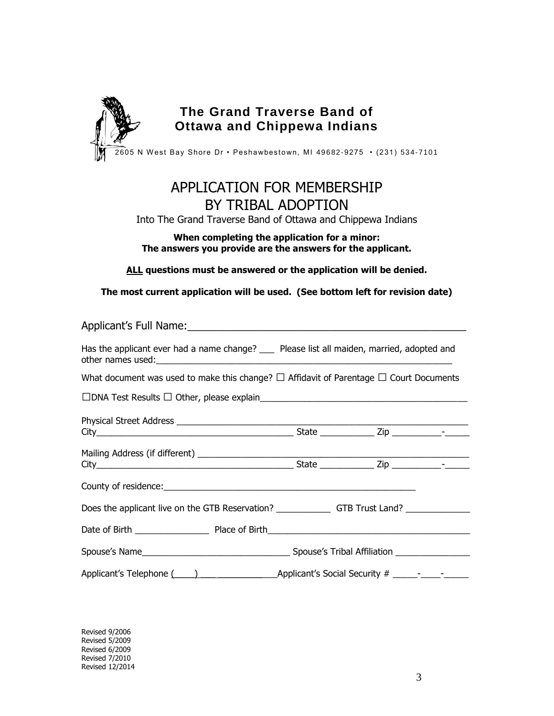

### **The Grand Traverse Band of Ottawa and Chippewa Indians**

 $\widehat{\text{2605}}$  N West Bay Shore Dr • Peshawbestown, MI 49682-9275 • (231) 534-7101

# APPLICATION FOR MEMBERSHIP BY TRIBAL ADOPTION

Into The Grand Traverse Band of Ottawa and Chippewa Indians

#### **When completing the application for a minor: The answers you provide are the answers for the applicant.**

**ALL questions must be answered or the application will be denied.**

**The most current application will be used. (See bottom left for revision date)**

| Has the applicant ever had a name change? ___ Please list all maiden, married, adopted and                     |  |  |  |
|----------------------------------------------------------------------------------------------------------------|--|--|--|
| What document was used to make this change? $\square$ Affidavit of Parentage $\square$ Court Documents         |  |  |  |
|                                                                                                                |  |  |  |
|                                                                                                                |  |  |  |
|                                                                                                                |  |  |  |
|                                                                                                                |  |  |  |
|                                                                                                                |  |  |  |
|                                                                                                                |  |  |  |
|                                                                                                                |  |  |  |
|                                                                                                                |  |  |  |
|                                                                                                                |  |  |  |
| Applicant's Telephone (1, 2008) [2010] [2010] [2010] [2010] [2010] [2010] [2010] [2010] [2010] [2010] [2010] [ |  |  |  |